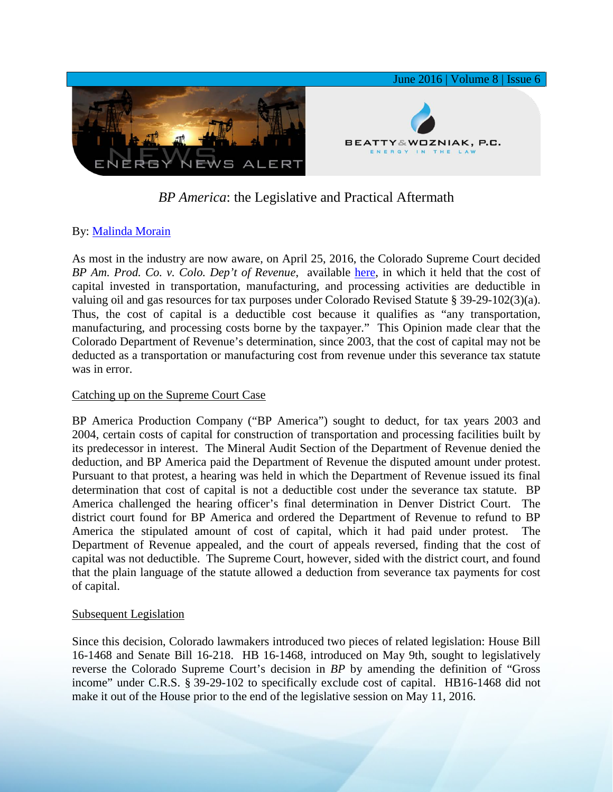

# *BP America*: the Legislative and Practical Aftermath

## By: [Malinda Morain](http://www.bwenergylaw.com/#!malinda-morain/cmt9)

As most in the industry are now aware, on April 25, 2016, the Colorado Supreme Court decided *BP Am. Prod. Co. v. Colo. Dep't of Revenue*, available [here,](https://www.courts.state.co.us/userfiles/file/Court_Probation/Supreme_Court/Opinions/2013/13SC996.pdf) in which it held that the cost of capital invested in transportation, manufacturing, and processing activities are deductible in valuing oil and gas resources for tax purposes under Colorado Revised Statute § 39-29-102(3)(a). Thus, the cost of capital is a deductible cost because it qualifies as "any transportation, manufacturing, and processing costs borne by the taxpayer." This Opinion made clear that the Colorado Department of Revenue's determination, since 2003, that the cost of capital may not be deducted as a transportation or manufacturing cost from revenue under this severance tax statute was in error.

### Catching up on the Supreme Court Case

BP America Production Company ("BP America") sought to deduct, for tax years 2003 and 2004, certain costs of capital for construction of transportation and processing facilities built by its predecessor in interest. The Mineral Audit Section of the Department of Revenue denied the deduction, and BP America paid the Department of Revenue the disputed amount under protest. Pursuant to that protest, a hearing was held in which the Department of Revenue issued its final determination that cost of capital is not a deductible cost under the severance tax statute. BP America challenged the hearing officer's final determination in Denver District Court. The district court found for BP America and ordered the Department of Revenue to refund to BP America the stipulated amount of cost of capital, which it had paid under protest. The Department of Revenue appealed, and the court of appeals reversed, finding that the cost of capital was not deductible. The Supreme Court, however, sided with the district court, and found that the plain language of the statute allowed a deduction from severance tax payments for cost of capital.

#### Subsequent Legislation

Since this decision, Colorado lawmakers introduced two pieces of related legislation: House Bill 16-1468 and Senate Bill 16-218. HB 16-1468, introduced on May 9th, sought to legislatively reverse the Colorado Supreme Court's decision in *BP* by amending the definition of "Gross income" under C.R.S. § 39-29-102 to specifically exclude cost of capital. HB16-1468 did not make it out of the House prior to the end of the legislative session on May 11, 2016.